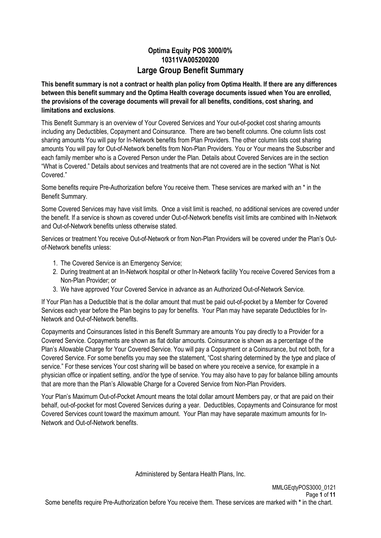# **Optima Equity POS 3000/0% 10311VA005200200 Large Group Benefit Summary**

**This benefit summary is not a contract or health plan policy from Optima Health. If there are any differences between this benefit summary and the Optima Health coverage documents issued when You are enrolled, the provisions of the coverage documents will prevail for all benefits, conditions, cost sharing, and limitations and exclusions**.

This Benefit Summary is an overview of Your Covered Services and Your out-of-pocket cost sharing amounts including any Deductibles, Copayment and Coinsurance. There are two benefit columns. One column lists cost sharing amounts You will pay for In-Network benefits from Plan Providers. The other column lists cost sharing amounts You will pay for Out-of-Network benefits from Non-Plan Providers. You or Your means the Subscriber and each family member who is a Covered Person under the Plan. Details about Covered Services are in the section "What is Covered." Details about services and treatments that are not covered are in the section "What is Not Covered."

Some benefits require Pre-Authorization before You receive them. These services are marked with an \* in the Benefit Summary.

Some Covered Services may have visit limits. Once a visit limit is reached, no additional services are covered under the benefit. If a service is shown as covered under Out-of-Network benefits visit limits are combined with In-Network and Out-of-Network benefits unless otherwise stated.

Services or treatment You receive Out-of-Network or from Non-Plan Providers will be covered under the Plan's Outof-Network benefits unless:

- 1. The Covered Service is an Emergency Service;
- 2. During treatment at an In-Network hospital or other In-Network facility You receive Covered Services from a Non-Plan Provider; or
- 3. We have approved Your Covered Service in advance as an Authorized Out-of-Network Service.

If Your Plan has a Deductible that is the dollar amount that must be paid out-of-pocket by a Member for Covered Services each year before the Plan begins to pay for benefits. Your Plan may have separate Deductibles for In-Network and Out-of-Network benefits.

Copayments and Coinsurances listed in this Benefit Summary are amounts You pay directly to a Provider for a Covered Service. Copayments are shown as flat dollar amounts. Coinsurance is shown as a percentage of the Plan's Allowable Charge for Your Covered Service. You will pay a Copayment or a Coinsurance, but not both, for a Covered Service. For some benefits you may see the statement, "Cost sharing determined by the type and place of service." For these services Your cost sharing will be based on where you receive a service, for example in a physician office or inpatient setting, and/or the type of service. You may also have to pay for balance billing amounts that are more than the Plan's Allowable Charge for a Covered Service from Non-Plan Providers.

Your Plan's Maximum Out-of-Pocket Amount means the total dollar amount Members pay, or that are paid on their behalf, out-of-pocket for most Covered Services during a year. Deductibles, Copayments and Coinsurance for most Covered Services count toward the maximum amount. Your Plan may have separate maximum amounts for In-Network and Out-of-Network benefits.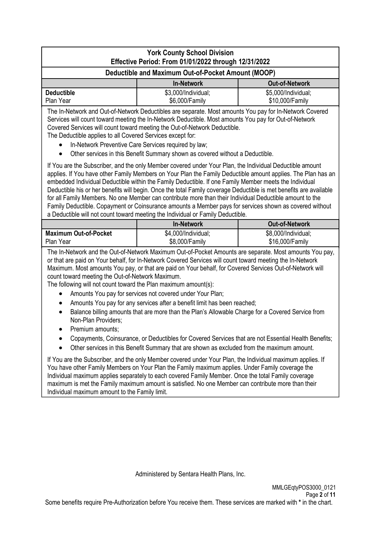|                                                                                                                                                                                                                                                 | <b>York County School Division</b>                                                                                                                                                                                                                                                                                                                                                                                                                                                                                                                                                                                                                                                                                                                                                                                                                                                                                                                                                                                                                                                                                                                                                                                   |                                        |  |  |  |
|-------------------------------------------------------------------------------------------------------------------------------------------------------------------------------------------------------------------------------------------------|----------------------------------------------------------------------------------------------------------------------------------------------------------------------------------------------------------------------------------------------------------------------------------------------------------------------------------------------------------------------------------------------------------------------------------------------------------------------------------------------------------------------------------------------------------------------------------------------------------------------------------------------------------------------------------------------------------------------------------------------------------------------------------------------------------------------------------------------------------------------------------------------------------------------------------------------------------------------------------------------------------------------------------------------------------------------------------------------------------------------------------------------------------------------------------------------------------------------|----------------------------------------|--|--|--|
| Effective Period: From 01/01/2022 through 12/31/2022<br>Deductible and Maximum Out-of-Pocket Amount (MOOP)                                                                                                                                      |                                                                                                                                                                                                                                                                                                                                                                                                                                                                                                                                                                                                                                                                                                                                                                                                                                                                                                                                                                                                                                                                                                                                                                                                                      |                                        |  |  |  |
| <b>In-Network</b><br><b>Out-of-Network</b>                                                                                                                                                                                                      |                                                                                                                                                                                                                                                                                                                                                                                                                                                                                                                                                                                                                                                                                                                                                                                                                                                                                                                                                                                                                                                                                                                                                                                                                      |                                        |  |  |  |
| <b>Deductible</b><br>Plan Year                                                                                                                                                                                                                  | \$3,000/Individual;<br>\$5,000/Individual;<br>\$6,000/Family<br>\$10,000/Family                                                                                                                                                                                                                                                                                                                                                                                                                                                                                                                                                                                                                                                                                                                                                                                                                                                                                                                                                                                                                                                                                                                                      |                                        |  |  |  |
| The Deductible applies to all Covered Services except for:                                                                                                                                                                                      | The In-Network and Out-of-Network Deductibles are separate. Most amounts You pay for In-Network Covered<br>Services will count toward meeting the In-Network Deductible. Most amounts You pay for Out-of-Network<br>Covered Services will count toward meeting the Out-of-Network Deductible.<br>In-Network Preventive Care Services required by law;<br>Other services in this Benefit Summary shown as covered without a Deductible.                                                                                                                                                                                                                                                                                                                                                                                                                                                                                                                                                                                                                                                                                                                                                                               |                                        |  |  |  |
|                                                                                                                                                                                                                                                 | If You are the Subscriber, and the only Member covered under Your Plan, the Individual Deductible amount<br>applies. If You have other Family Members on Your Plan the Family Deductible amount applies. The Plan has an<br>embedded Individual Deductible within the Family Deductible. If one Family Member meets the Individual<br>Deductible his or her benefits will begin. Once the total Family coverage Deductible is met benefits are available<br>for all Family Members. No one Member can contribute more than their Individual Deductible amount to the<br>Family Deductible. Copayment or Coinsurance amounts a Member pays for services shown as covered without<br>a Deductible will not count toward meeting the Individual or Family Deductible.                                                                                                                                                                                                                                                                                                                                                                                                                                                   |                                        |  |  |  |
|                                                                                                                                                                                                                                                 | <b>In-Network</b>                                                                                                                                                                                                                                                                                                                                                                                                                                                                                                                                                                                                                                                                                                                                                                                                                                                                                                                                                                                                                                                                                                                                                                                                    | <b>Out-of-Network</b>                  |  |  |  |
| <b>Maximum Out-of-Pocket</b><br>Plan Year                                                                                                                                                                                                       | \$4,000/Individual;<br>\$8,000/Family                                                                                                                                                                                                                                                                                                                                                                                                                                                                                                                                                                                                                                                                                                                                                                                                                                                                                                                                                                                                                                                                                                                                                                                | \$8,000/Individual;<br>\$16,000/Family |  |  |  |
| count toward meeting the Out-of-Network Maximum.<br>The following will not count toward the Plan maximum amount(s):<br>$\bullet$<br>٠<br>$\bullet$<br>Non-Plan Providers;<br>Premium amounts;<br>Individual maximum amount to the Family limit. | The In-Network and the Out-of-Network Maximum Out-of-Pocket Amounts are separate. Most amounts You pay,<br>or that are paid on Your behalf, for In-Network Covered Services will count toward meeting the In-Network<br>Maximum. Most amounts You pay, or that are paid on Your behalf, for Covered Services Out-of-Network will<br>Amounts You pay for services not covered under Your Plan;<br>Amounts You pay for any services after a benefit limit has been reached;<br>Balance billing amounts that are more than the Plan's Allowable Charge for a Covered Service from<br>Copayments, Coinsurance, or Deductibles for Covered Services that are not Essential Health Benefits;<br>Other services in this Benefit Summary that are shown as excluded from the maximum amount.<br>If You are the Subscriber, and the only Member covered under Your Plan, the Individual maximum applies. If<br>You have other Family Members on Your Plan the Family maximum applies. Under Family coverage the<br>Individual maximum applies separately to each covered Family Member. Once the total Family coverage<br>maximum is met the Family maximum amount is satisfied. No one Member can contribute more than their |                                        |  |  |  |
|                                                                                                                                                                                                                                                 |                                                                                                                                                                                                                                                                                                                                                                                                                                                                                                                                                                                                                                                                                                                                                                                                                                                                                                                                                                                                                                                                                                                                                                                                                      |                                        |  |  |  |
|                                                                                                                                                                                                                                                 |                                                                                                                                                                                                                                                                                                                                                                                                                                                                                                                                                                                                                                                                                                                                                                                                                                                                                                                                                                                                                                                                                                                                                                                                                      |                                        |  |  |  |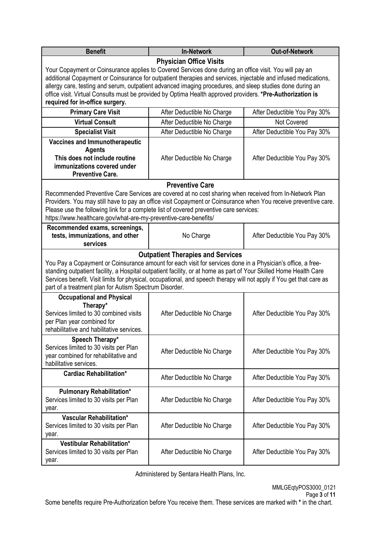| <b>Benefit</b>                                                                                                                                                                                                                                                                                                                                                                                                                                                                         | <b>In-Network</b>                                                           | Out-of-Network               |  |  |  |  |
|----------------------------------------------------------------------------------------------------------------------------------------------------------------------------------------------------------------------------------------------------------------------------------------------------------------------------------------------------------------------------------------------------------------------------------------------------------------------------------------|-----------------------------------------------------------------------------|------------------------------|--|--|--|--|
|                                                                                                                                                                                                                                                                                                                                                                                                                                                                                        | <b>Physician Office Visits</b>                                              |                              |  |  |  |  |
| Your Copayment or Coinsurance applies to Covered Services done during an office visit. You will pay an<br>additional Copayment or Coinsurance for outpatient therapies and services, injectable and infused medications,<br>allergy care, testing and serum, outpatient advanced imaging procedures, and sleep studies done during an<br>office visit. Virtual Consults must be provided by Optima Health approved providers. *Pre-Authorization is<br>required for in-office surgery. |                                                                             |                              |  |  |  |  |
| <b>Primary Care Visit</b>                                                                                                                                                                                                                                                                                                                                                                                                                                                              | After Deductible No Charge                                                  | After Deductible You Pay 30% |  |  |  |  |
| <b>Virtual Consult</b>                                                                                                                                                                                                                                                                                                                                                                                                                                                                 | After Deductible No Charge                                                  | <b>Not Covered</b>           |  |  |  |  |
| <b>Specialist Visit</b>                                                                                                                                                                                                                                                                                                                                                                                                                                                                | After Deductible No Charge                                                  | After Deductible You Pay 30% |  |  |  |  |
| <b>Vaccines and Immunotherapeutic</b><br><b>Agents</b><br>This does not include routine<br>immunizations covered under<br><b>Preventive Care.</b>                                                                                                                                                                                                                                                                                                                                      | After Deductible No Charge                                                  | After Deductible You Pay 30% |  |  |  |  |
|                                                                                                                                                                                                                                                                                                                                                                                                                                                                                        | <b>Preventive Care</b>                                                      |                              |  |  |  |  |
| Recommended Preventive Care Services are covered at no cost sharing when received from In-Network Plan<br>Providers. You may still have to pay an office visit Copayment or Coinsurance when You receive preventive care.<br>Please use the following link for a complete list of covered preventive care services:<br>https://www.healthcare.gov/what-are-my-preventive-care-benefits/                                                                                                |                                                                             |                              |  |  |  |  |
| tests, immunizations, and other<br>services                                                                                                                                                                                                                                                                                                                                                                                                                                            | Recommended exams, screenings,<br>No Charge<br>After Deductible You Pay 30% |                              |  |  |  |  |
| You Pay a Copayment or Coinsurance amount for each visit for services done in a Physician's office, a free-<br>standing outpatient facility, a Hospital outpatient facility, or at home as part of Your Skilled Home Health Care<br>Services benefit. Visit limits for physical, occupational, and speech therapy will not apply if You get that care as                                                                                                                               | <b>Outpatient Therapies and Services</b>                                    |                              |  |  |  |  |
| part of a treatment plan for Autism Spectrum Disorder.                                                                                                                                                                                                                                                                                                                                                                                                                                 |                                                                             |                              |  |  |  |  |
| <b>Occupational and Physical</b><br>Therapy*<br>Services limited to 30 combined visits<br>per Plan year combined for<br>rehabilitative and habilitative services.                                                                                                                                                                                                                                                                                                                      | After Deductible No Charge                                                  | After Deductible You Pay 30% |  |  |  |  |
| Speech Therapy*<br>Services limited to 30 visits per Plan<br>year combined for rehabilitative and<br>habilitative services.                                                                                                                                                                                                                                                                                                                                                            | After Deductible No Charge                                                  | After Deductible You Pay 30% |  |  |  |  |
| <b>Cardiac Rehabilitation*</b>                                                                                                                                                                                                                                                                                                                                                                                                                                                         | After Deductible No Charge                                                  | After Deductible You Pay 30% |  |  |  |  |
| <b>Pulmonary Rehabilitation*</b><br>Services limited to 30 visits per Plan<br>After Deductible No Charge<br>After Deductible You Pay 30%<br>year.                                                                                                                                                                                                                                                                                                                                      |                                                                             |                              |  |  |  |  |
| <b>Vascular Rehabilitation*</b><br>Services limited to 30 visits per Plan<br>year.                                                                                                                                                                                                                                                                                                                                                                                                     | After Deductible No Charge                                                  | After Deductible You Pay 30% |  |  |  |  |
| Vestibular Rehabilitation*<br>Services limited to 30 visits per Plan<br>year.                                                                                                                                                                                                                                                                                                                                                                                                          | After Deductible No Charge                                                  | After Deductible You Pay 30% |  |  |  |  |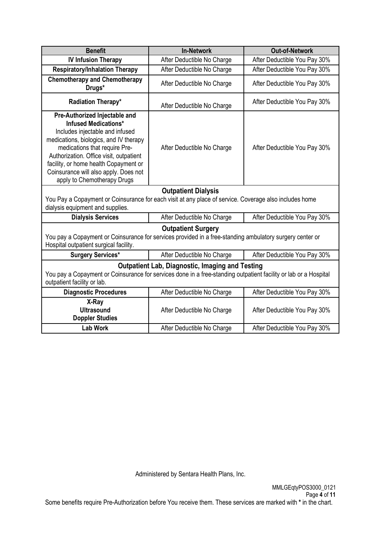| <b>Benefit</b>                                                                                                                                                                                                                                                                                                                         | <b>In-Network</b>                                          | <b>Out-of-Network</b>        |  |  |
|----------------------------------------------------------------------------------------------------------------------------------------------------------------------------------------------------------------------------------------------------------------------------------------------------------------------------------------|------------------------------------------------------------|------------------------------|--|--|
| <b>IV Infusion Therapy</b>                                                                                                                                                                                                                                                                                                             | After Deductible No Charge                                 | After Deductible You Pay 30% |  |  |
| <b>Respiratory/Inhalation Therapy</b>                                                                                                                                                                                                                                                                                                  | After Deductible No Charge                                 | After Deductible You Pay 30% |  |  |
| <b>Chemotherapy and Chemotherapy</b><br>Drugs*                                                                                                                                                                                                                                                                                         | After Deductible No Charge                                 | After Deductible You Pay 30% |  |  |
| Radiation Therapy*                                                                                                                                                                                                                                                                                                                     | After Deductible No Charge                                 | After Deductible You Pay 30% |  |  |
| Pre-Authorized Injectable and<br><b>Infused Medications*</b><br>Includes injectable and infused<br>medications, biologics, and IV therapy<br>medications that require Pre-<br>Authorization. Office visit, outpatient<br>facility, or home health Copayment or<br>Coinsurance will also apply. Does not<br>apply to Chemotherapy Drugs | After Deductible No Charge                                 | After Deductible You Pay 30% |  |  |
|                                                                                                                                                                                                                                                                                                                                        | <b>Outpatient Dialysis</b>                                 |                              |  |  |
| You Pay a Copayment or Coinsurance for each visit at any place of service. Coverage also includes home<br>dialysis equipment and supplies.                                                                                                                                                                                             |                                                            |                              |  |  |
| <b>Dialysis Services</b>                                                                                                                                                                                                                                                                                                               | After Deductible No Charge                                 | After Deductible You Pay 30% |  |  |
| You pay a Copayment or Coinsurance for services provided in a free-standing ambulatory surgery center or<br>Hospital outpatient surgical facility.                                                                                                                                                                                     | <b>Outpatient Surgery</b>                                  |                              |  |  |
| <b>Surgery Services*</b>                                                                                                                                                                                                                                                                                                               | After Deductible No Charge                                 | After Deductible You Pay 30% |  |  |
| <b>Outpatient Lab, Diagnostic, Imaging and Testing</b><br>You pay a Copayment or Coinsurance for services done in a free-standing outpatient facility or lab or a Hospital<br>outpatient facility or lab.                                                                                                                              |                                                            |                              |  |  |
| <b>Diagnostic Procedures</b>                                                                                                                                                                                                                                                                                                           | After Deductible No Charge                                 | After Deductible You Pay 30% |  |  |
| X-Ray<br><b>Ultrasound</b><br><b>Doppler Studies</b>                                                                                                                                                                                                                                                                                   | After Deductible No Charge                                 | After Deductible You Pay 30% |  |  |
| <b>Lab Work</b>                                                                                                                                                                                                                                                                                                                        | After Deductible No Charge<br>After Deductible You Pay 30% |                              |  |  |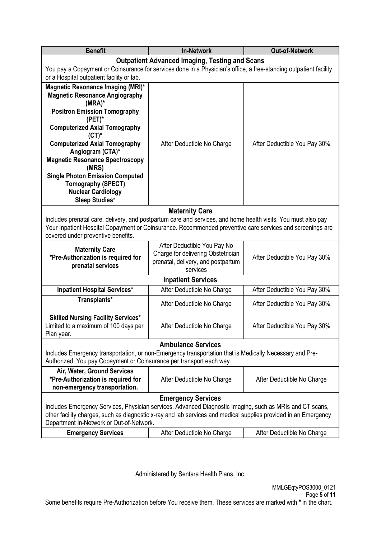| <b>Benefit</b>                                                                                                                                                                                                                                                                                                                                                                                                                | <b>Out-of-Network</b>                                 |                              |  |  |
|-------------------------------------------------------------------------------------------------------------------------------------------------------------------------------------------------------------------------------------------------------------------------------------------------------------------------------------------------------------------------------------------------------------------------------|-------------------------------------------------------|------------------------------|--|--|
|                                                                                                                                                                                                                                                                                                                                                                                                                               | <b>Outpatient Advanced Imaging, Testing and Scans</b> |                              |  |  |
| You pay a Copayment or Coinsurance for services done in a Physician's office, a free-standing outpatient facility<br>or a Hospital outpatient facility or lab.                                                                                                                                                                                                                                                                |                                                       |                              |  |  |
| Magnetic Resonance Imaging (MRI)*<br><b>Magnetic Resonance Angiography</b><br>$(MRA)^*$<br><b>Positron Emission Tomography</b><br>$(PET)^*$<br><b>Computerized Axial Tomography</b><br>$(CT)^*$<br><b>Computerized Axial Tomography</b><br>Angiogram (CTA)*<br><b>Magnetic Resonance Spectroscopy</b><br>(MRS)<br><b>Single Photon Emission Computed</b><br>Tomography (SPECT)<br><b>Nuclear Cardiology</b><br>Sleep Studies* | After Deductible No Charge                            | After Deductible You Pay 30% |  |  |
|                                                                                                                                                                                                                                                                                                                                                                                                                               | <b>Maternity Care</b>                                 |                              |  |  |
| Includes prenatal care, delivery, and postpartum care and services, and home health visits. You must also pay<br>Your Inpatient Hospital Copayment or Coinsurance. Recommended preventive care services and screenings are<br>covered under preventive benefits.                                                                                                                                                              |                                                       |                              |  |  |
| <b>Maternity Care</b><br>*Pre-Authorization is required for<br>prenatal services                                                                                                                                                                                                                                                                                                                                              | After Deductible You Pay 30%                          |                              |  |  |
|                                                                                                                                                                                                                                                                                                                                                                                                                               | <b>Inpatient Services</b>                             |                              |  |  |
| Inpatient Hospital Services*                                                                                                                                                                                                                                                                                                                                                                                                  | After Deductible No Charge                            | After Deductible You Pay 30% |  |  |
| Transplants*                                                                                                                                                                                                                                                                                                                                                                                                                  | After Deductible No Charge                            | After Deductible You Pay 30% |  |  |
| <b>Skilled Nursing Facility Services*</b><br>Limited to a maximum of 100 days per<br>Plan year.                                                                                                                                                                                                                                                                                                                               | After Deductible No Charge                            | After Deductible You Pay 30% |  |  |
| <b>Ambulance Services</b><br>Includes Emergency transportation, or non-Emergency transportation that is Medically Necessary and Pre-<br>Authorized. You pay Copayment or Coinsurance per transport each way.                                                                                                                                                                                                                  |                                                       |                              |  |  |
| Air, Water, Ground Services<br>*Pre-Authorization is required for<br>non-emergency transportation.                                                                                                                                                                                                                                                                                                                            | After Deductible No Charge                            | After Deductible No Charge   |  |  |
| <b>Emergency Services</b><br>Includes Emergency Services, Physician services, Advanced Diagnostic Imaging, such as MRIs and CT scans,<br>other facility charges, such as diagnostic x-ray and lab services and medical supplies provided in an Emergency<br>Department In-Network or Out-of-Network.                                                                                                                          |                                                       |                              |  |  |
| <b>Emergency Services</b><br>After Deductible No Charge<br>After Deductible No Charge                                                                                                                                                                                                                                                                                                                                         |                                                       |                              |  |  |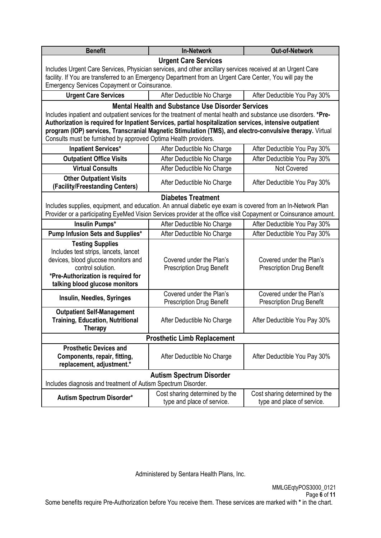| <b>Benefit</b>                                                                                                                                                                                                                                                                                                                                                                                              | <b>In-Network</b>                                                                                                                                                                                                                                            |                                                              |  |  |  |
|-------------------------------------------------------------------------------------------------------------------------------------------------------------------------------------------------------------------------------------------------------------------------------------------------------------------------------------------------------------------------------------------------------------|--------------------------------------------------------------------------------------------------------------------------------------------------------------------------------------------------------------------------------------------------------------|--------------------------------------------------------------|--|--|--|
| <b>Urgent Care Services</b><br>Includes Urgent Care Services, Physician services, and other ancillary services received at an Urgent Care<br>facility. If You are transferred to an Emergency Department from an Urgent Care Center, You will pay the<br>Emergency Services Copayment or Coinsurance.                                                                                                       |                                                                                                                                                                                                                                                              |                                                              |  |  |  |
| <b>Urgent Care Services</b>                                                                                                                                                                                                                                                                                                                                                                                 | After Deductible No Charge                                                                                                                                                                                                                                   | After Deductible You Pay 30%                                 |  |  |  |
| Includes inpatient and outpatient services for the treatment of mental health and substance use disorders. *Pre-<br>Authorization is required for Inpatient Services, partial hospitalization services, intensive outpatient<br>program (IOP) services, Transcranial Magnetic Stimulation (TMS), and electro-convulsive therapy. Virtual<br>Consults must be furnished by approved Optima Health providers. | <b>Mental Health and Substance Use Disorder Services</b>                                                                                                                                                                                                     |                                                              |  |  |  |
| <b>Inpatient Services*</b>                                                                                                                                                                                                                                                                                                                                                                                  | After Deductible No Charge                                                                                                                                                                                                                                   | After Deductible You Pay 30%                                 |  |  |  |
| <b>Outpatient Office Visits</b>                                                                                                                                                                                                                                                                                                                                                                             | After Deductible No Charge                                                                                                                                                                                                                                   | After Deductible You Pay 30%                                 |  |  |  |
| <b>Virtual Consults</b>                                                                                                                                                                                                                                                                                                                                                                                     | After Deductible No Charge                                                                                                                                                                                                                                   | Not Covered                                                  |  |  |  |
| <b>Other Outpatient Visits</b><br>(Facility/Freestanding Centers)                                                                                                                                                                                                                                                                                                                                           | After Deductible No Charge                                                                                                                                                                                                                                   | After Deductible You Pay 30%                                 |  |  |  |
| <b>Insulin Pumps*</b>                                                                                                                                                                                                                                                                                                                                                                                       | <b>Diabetes Treatment</b><br>Includes supplies, equipment, and education. An annual diabetic eye exam is covered from an In-Network Plan<br>Provider or a participating EyeMed Vision Services provider at the office visit Copayment or Coinsurance amount. |                                                              |  |  |  |
| Pump Infusion Sets and Supplies*                                                                                                                                                                                                                                                                                                                                                                            | After Deductible No Charge<br>After Deductible No Charge                                                                                                                                                                                                     | After Deductible You Pay 30%<br>After Deductible You Pay 30% |  |  |  |
| <b>Testing Supplies</b><br>Includes test strips, lancets, lancet<br>devices, blood glucose monitors and<br>Covered under the Plan's<br>Covered under the Plan's<br>control solution.<br>Prescription Drug Benefit<br><b>Prescription Drug Benefit</b><br>*Pre-Authorization is required for<br>talking blood glucose monitors                                                                               |                                                                                                                                                                                                                                                              |                                                              |  |  |  |
| Insulin, Needles, Syringes                                                                                                                                                                                                                                                                                                                                                                                  | Covered under the Plan's<br><b>Prescription Drug Benefit</b>                                                                                                                                                                                                 | Covered under the Plan's<br><b>Prescription Drug Benefit</b> |  |  |  |
| <b>Outpatient Self-Management</b><br><b>Training, Education, Nutritional</b><br>After Deductible No Charge<br>After Deductible You Pay 30%<br>Therapy                                                                                                                                                                                                                                                       |                                                                                                                                                                                                                                                              |                                                              |  |  |  |
| <b>Prosthetic Limb Replacement</b>                                                                                                                                                                                                                                                                                                                                                                          |                                                                                                                                                                                                                                                              |                                                              |  |  |  |
| <b>Prosthetic Devices and</b><br>Components, repair, fitting,<br>replacement, adjustment.*                                                                                                                                                                                                                                                                                                                  | After Deductible No Charge                                                                                                                                                                                                                                   | After Deductible You Pay 30%                                 |  |  |  |
| <b>Autism Spectrum Disorder</b><br>Includes diagnosis and treatment of Autism Spectrum Disorder.                                                                                                                                                                                                                                                                                                            |                                                                                                                                                                                                                                                              |                                                              |  |  |  |
| Cost sharing determined by the<br>Cost sharing determined by the<br>Autism Spectrum Disorder*<br>type and place of service.<br>type and place of service.                                                                                                                                                                                                                                                   |                                                                                                                                                                                                                                                              |                                                              |  |  |  |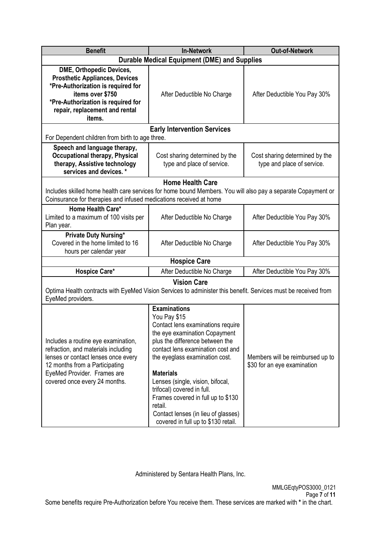| <b>Benefit</b>                                                                                                                                                                                                      | <b>Out-of-Network</b>                                                                                                                                                                                                                                                                                                                                                                                                                    |                                                                 |  |  |
|---------------------------------------------------------------------------------------------------------------------------------------------------------------------------------------------------------------------|------------------------------------------------------------------------------------------------------------------------------------------------------------------------------------------------------------------------------------------------------------------------------------------------------------------------------------------------------------------------------------------------------------------------------------------|-----------------------------------------------------------------|--|--|
| <b>Durable Medical Equipment (DME) and Supplies</b>                                                                                                                                                                 |                                                                                                                                                                                                                                                                                                                                                                                                                                          |                                                                 |  |  |
| DME, Orthopedic Devices,<br><b>Prosthetic Appliances, Devices</b><br>*Pre-Authorization is required for<br>items over \$750<br>*Pre-Authorization is required for<br>repair, replacement and rental<br>items.       | After Deductible No Charge                                                                                                                                                                                                                                                                                                                                                                                                               |                                                                 |  |  |
|                                                                                                                                                                                                                     | <b>Early Intervention Services</b>                                                                                                                                                                                                                                                                                                                                                                                                       |                                                                 |  |  |
| For Dependent children from birth to age three.                                                                                                                                                                     |                                                                                                                                                                                                                                                                                                                                                                                                                                          |                                                                 |  |  |
| Speech and language therapy,<br><b>Occupational therapy, Physical</b><br>therapy, Assistive technology<br>services and devices. *                                                                                   | Cost sharing determined by the<br>type and place of service.                                                                                                                                                                                                                                                                                                                                                                             | Cost sharing determined by the<br>type and place of service.    |  |  |
|                                                                                                                                                                                                                     | <b>Home Health Care</b>                                                                                                                                                                                                                                                                                                                                                                                                                  |                                                                 |  |  |
| Includes skilled home health care services for home bound Members. You will also pay a separate Copayment or<br>Coinsurance for therapies and infused medications received at home                                  |                                                                                                                                                                                                                                                                                                                                                                                                                                          |                                                                 |  |  |
| Home Health Care*<br>Limited to a maximum of 100 visits per<br>Plan year.                                                                                                                                           | After Deductible No Charge                                                                                                                                                                                                                                                                                                                                                                                                               | After Deductible You Pay 30%                                    |  |  |
| <b>Private Duty Nursing*</b><br>Covered in the home limited to 16<br>After Deductible No Charge<br>hours per calendar year                                                                                          |                                                                                                                                                                                                                                                                                                                                                                                                                                          | After Deductible You Pay 30%                                    |  |  |
|                                                                                                                                                                                                                     | <b>Hospice Care</b>                                                                                                                                                                                                                                                                                                                                                                                                                      |                                                                 |  |  |
| Hospice Care*                                                                                                                                                                                                       | After Deductible No Charge                                                                                                                                                                                                                                                                                                                                                                                                               | After Deductible You Pay 30%                                    |  |  |
| Optima Health contracts with EyeMed Vision Services to administer this benefit. Services must be received from<br>EyeMed providers.                                                                                 | <b>Vision Care</b>                                                                                                                                                                                                                                                                                                                                                                                                                       |                                                                 |  |  |
| Includes a routine eye examination,<br>refraction, and materials including<br>lenses or contact lenses once every<br>12 months from a Participating<br>EyeMed Provider. Frames are<br>covered once every 24 months. | <b>Examinations</b><br>You Pay \$15<br>Contact lens examinations require<br>the eye examination Copayment<br>plus the difference between the<br>contact lens examination cost and<br>the eyeglass examination cost.<br><b>Materials</b><br>Lenses (single, vision, bifocal,<br>trifocal) covered in full.<br>Frames covered in full up to \$130<br>retail.<br>Contact lenses (in lieu of glasses)<br>covered in full up to \$130 retail. | Members will be reimbursed up to<br>\$30 for an eye examination |  |  |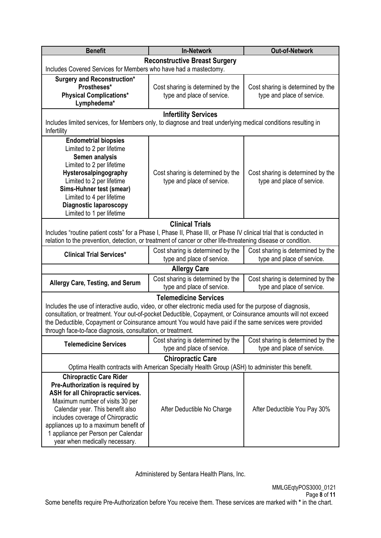| <b>Benefit</b>                                                                                                             | <b>Out-of-Network</b>                                           |                                                                 |  |  |
|----------------------------------------------------------------------------------------------------------------------------|-----------------------------------------------------------------|-----------------------------------------------------------------|--|--|
|                                                                                                                            | <b>Reconstructive Breast Surgery</b>                            |                                                                 |  |  |
| Includes Covered Services for Members who have had a mastectomy.                                                           |                                                                 |                                                                 |  |  |
| <b>Surgery and Reconstruction*</b>                                                                                         |                                                                 |                                                                 |  |  |
| Prostheses*<br><b>Physical Complications*</b>                                                                              | Cost sharing is determined by the<br>type and place of service. | Cost sharing is determined by the<br>type and place of service. |  |  |
| Lymphedema*                                                                                                                |                                                                 |                                                                 |  |  |
|                                                                                                                            | <b>Infertility Services</b>                                     |                                                                 |  |  |
| Includes limited services, for Members only, to diagnose and treat underlying medical conditions resulting in              |                                                                 |                                                                 |  |  |
| Infertility                                                                                                                |                                                                 |                                                                 |  |  |
| <b>Endometrial biopsies</b>                                                                                                |                                                                 |                                                                 |  |  |
| Limited to 2 per lifetime                                                                                                  |                                                                 |                                                                 |  |  |
| Semen analysis                                                                                                             |                                                                 |                                                                 |  |  |
| Limited to 2 per lifetime<br>Hysterosalpingography                                                                         | Cost sharing is determined by the                               | Cost sharing is determined by the                               |  |  |
| Limited to 2 per lifetime                                                                                                  | type and place of service.                                      | type and place of service.                                      |  |  |
| Sims-Huhner test (smear)                                                                                                   |                                                                 |                                                                 |  |  |
| Limited to 4 per lifetime                                                                                                  |                                                                 |                                                                 |  |  |
| <b>Diagnostic laparoscopy</b>                                                                                              |                                                                 |                                                                 |  |  |
| Limited to 1 per lifetime                                                                                                  |                                                                 |                                                                 |  |  |
|                                                                                                                            | <b>Clinical Trials</b>                                          |                                                                 |  |  |
| Includes "routine patient costs" for a Phase I, Phase II, Phase III, or Phase IV clinical trial that is conducted in       |                                                                 |                                                                 |  |  |
| relation to the prevention, detection, or treatment of cancer or other life-threatening disease or condition.              |                                                                 |                                                                 |  |  |
| <b>Clinical Trial Services*</b>                                                                                            | Cost sharing is determined by the<br>type and place of service. | Cost sharing is determined by the<br>type and place of service. |  |  |
|                                                                                                                            | <b>Allergy Care</b>                                             |                                                                 |  |  |
|                                                                                                                            | Cost sharing is determined by the                               | Cost sharing is determined by the                               |  |  |
| <b>Allergy Care, Testing, and Serum</b>                                                                                    | type and place of service.                                      | type and place of service.                                      |  |  |
|                                                                                                                            | <b>Telemedicine Services</b>                                    |                                                                 |  |  |
| Includes the use of interactive audio, video, or other electronic media used for the purpose of diagnosis,                 |                                                                 |                                                                 |  |  |
| consultation, or treatment. Your out-of-pocket Deductible, Copayment, or Coinsurance amounts will not exceed               |                                                                 |                                                                 |  |  |
| the Deductible, Copayment or Coinsurance amount You would have paid if the same services were provided                     |                                                                 |                                                                 |  |  |
| through face-to-face diagnosis, consultation, or treatment.                                                                |                                                                 |                                                                 |  |  |
| <b>Telemedicine Services</b>                                                                                               | Cost sharing is determined by the                               | Cost sharing is determined by the<br>type and place of service. |  |  |
|                                                                                                                            | type and place of service.                                      |                                                                 |  |  |
| <b>Chiropractic Care</b><br>Optima Health contracts with American Specialty Health Group (ASH) to administer this benefit. |                                                                 |                                                                 |  |  |
| <b>Chiropractic Care Rider</b>                                                                                             |                                                                 |                                                                 |  |  |
| Pre-Authorization is required by                                                                                           |                                                                 |                                                                 |  |  |
| ASH for all Chiropractic services.                                                                                         |                                                                 |                                                                 |  |  |
| Maximum number of visits 30 per                                                                                            |                                                                 |                                                                 |  |  |
| Calendar year. This benefit also                                                                                           | After Deductible No Charge                                      | After Deductible You Pay 30%                                    |  |  |
| includes coverage of Chiropractic                                                                                          |                                                                 |                                                                 |  |  |
| appliances up to a maximum benefit of<br>1 appliance per Person per Calendar                                               |                                                                 |                                                                 |  |  |
| year when medically necessary.                                                                                             |                                                                 |                                                                 |  |  |
|                                                                                                                            |                                                                 |                                                                 |  |  |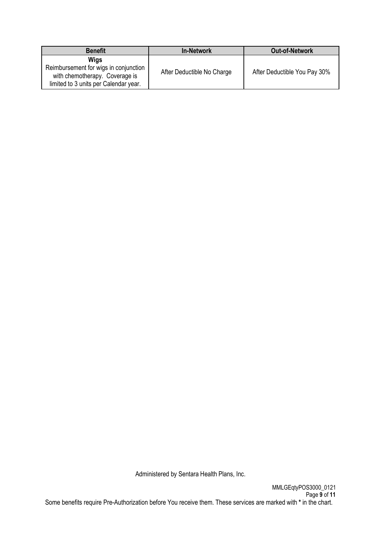| <b>Benefit</b>                                                                                                           | <b>In-Network</b>          | <b>Out-of-Network</b>        |
|--------------------------------------------------------------------------------------------------------------------------|----------------------------|------------------------------|
| Wigs<br>Reimbursement for wigs in conjunction<br>with chemotherapy. Coverage is<br>limited to 3 units per Calendar year. | After Deductible No Charge | After Deductible You Pay 30% |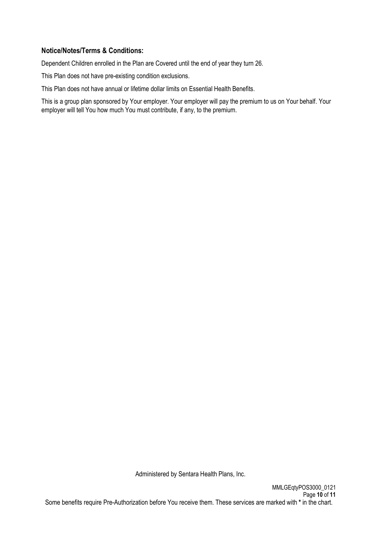## **Notice/Notes/Terms & Conditions:**

Dependent Children enrolled in the Plan are Covered until the end of year they turn 26.

This Plan does not have pre-existing condition exclusions.

This Plan does not have annual or lifetime dollar limits on Essential Health Benefits.

This is a group plan sponsored by Your employer. Your employer will pay the premium to us on Your behalf. Your employer will tell You how much You must contribute, if any, to the premium.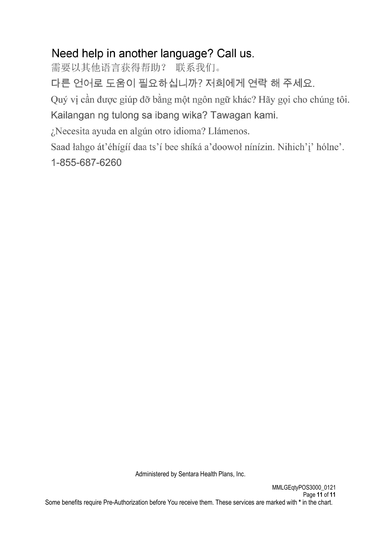# Need help in another language? Call us.

需要以其他语言获得帮助? 联系我们。

다른 언어로 도움이 필요하십니까? 저희에게 연락 해 주세요.

Quý vị cần được giúp đỡ bằng một ngôn ngữ khác? Hãy gọi cho chúng tôi.

Kailangan ng tulong sa ibang wika? Tawagan kami.

¿Necesita ayuda en algún otro idioma? Llámenos.

Saad łahgo át'éhígíí daa ts'í bee shíká a'doowoł nínízin. Nihich'i' hólne'.

1-855-687-6260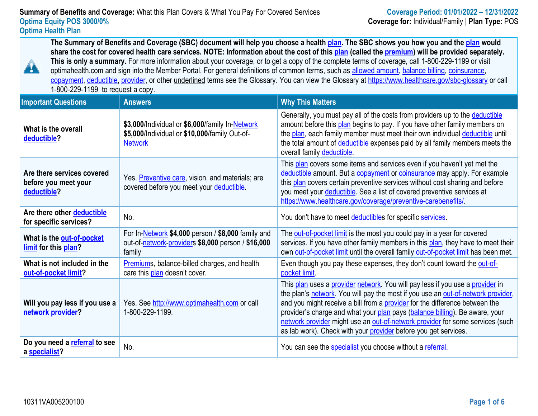**The Summary of Benefits and Coverage (SBC) document will help you choose a health [plan.](https://www.healthcare.gov/sbc-glossary/#plan) The SBC shows you how you and the [plan](https://www.healthcare.gov/sbc-glossary/#plan) would share the cost for covered health care services. NOTE: Information about the cost of this [plan](https://www.healthcare.gov/sbc-glossary/#plan) (called the [premium\)](https://www.healthcare.gov/sbc-glossary/#premium) will be provided separately. This is only a summary.** For more information about your coverage, or to get a copy of the complete terms of coverage, call 1-800-229-1199 or visit optimahealth.com and sign into the Member Portal. For general definitions of common terms, such as [allowed amount,](https://www.healthcare.gov/sbc-glossary/#allowed-amount) [balance billing,](https://www.healthcare.gov/sbc-glossary/#balance-billing) coinsurance, [copayment,](https://www.healthcare.gov/sbc-glossary/#copayment) [deductible,](https://www.healthcare.gov/sbc-glossary/#deductible) [provider,](https://www.healthcare.gov/sbc-glossary/#provider) or other underlined terms see the Glossary. You can view the Glossary at [https://www.healthcare.gov/sbc-glossary](http://www.healthcare.gov/sbc-glossary%20or%20call) or call 1-800-229-1199 to request a copy.

| <b>Important Questions</b>                                        | <b>Answers</b>                                                                                                     | <b>Why This Matters</b>                                                                                                                                                                                                                                                                                                                                                                                                                                                             |
|-------------------------------------------------------------------|--------------------------------------------------------------------------------------------------------------------|-------------------------------------------------------------------------------------------------------------------------------------------------------------------------------------------------------------------------------------------------------------------------------------------------------------------------------------------------------------------------------------------------------------------------------------------------------------------------------------|
| What is the overall<br>deductible?                                | \$3,000/Individual or \$6,000/family In-Network<br>\$5,000/Individual or \$10,000/family Out-of-<br><b>Network</b> | Generally, you must pay all of the costs from providers up to the deductible<br>amount before this plan begins to pay. If you have other family members on<br>the plan, each family member must meet their own individual deductible until<br>the total amount of deductible expenses paid by all family members meets the<br>overall family deductible.                                                                                                                            |
| Are there services covered<br>before you meet your<br>deductible? | Yes. Preventive care, vision, and materials; are<br>covered before you meet your deductible.                       | This plan covers some items and services even if you haven't yet met the<br>deductible amount. But a copayment or coinsurance may apply. For example<br>this plan covers certain preventive services without cost sharing and before<br>you meet your deductible. See a list of covered preventive services at<br>https://www.healthcare.gov/coverage/preventive-carebenefits/                                                                                                      |
| Are there other deductible<br>for specific services?              | No.                                                                                                                | You don't have to meet deductibles for specific services.                                                                                                                                                                                                                                                                                                                                                                                                                           |
| What is the out-of-pocket<br>limit for this plan?                 | For In-Network \$4,000 person / \$8,000 family and<br>out-of-network-providers \$8,000 person / \$16,000<br>family | The out-of-pocket limit is the most you could pay in a year for covered<br>services. If you have other family members in this plan, they have to meet their<br>own out-of-pocket limit until the overall family out-of-pocket limit has been met.                                                                                                                                                                                                                                   |
| What is not included in the<br>out-of-pocket limit?               | Premiums, balance-billed charges, and health<br>care this plan doesn't cover.                                      | Even though you pay these expenses, they don't count toward the out-of-<br>pocket limit                                                                                                                                                                                                                                                                                                                                                                                             |
| Will you pay less if you use a<br>network provider?               | Yes. See http://www.optimahealth.com or call<br>1-800-229-1199.                                                    | This plan uses a provider network. You will pay less if you use a provider in<br>the plan's network. You will pay the most if you use an out-of-network provider,<br>and you might receive a bill from a provider for the difference between the<br>provider's charge and what your plan pays (balance billing). Be aware, your<br>network provider might use an out-of-network provider for some services (such<br>as lab work). Check with your provider before you get services. |
| Do you need a referral to see<br>a specialist?                    | No.                                                                                                                | You can see the <b>specialist</b> you choose without a referral.                                                                                                                                                                                                                                                                                                                                                                                                                    |

A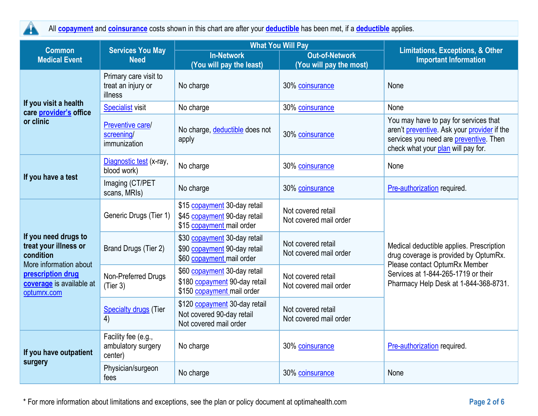$\blacktriangle$ 

All **[copayment](https://www.healthcare.gov/sbc-glossary/#copayment)** and **[coinsurance](https://www.healthcare.gov/sbc-glossary/#coinsurance)** costs shown in this chart are after your **[deductible](https://www.healthcare.gov/sbc-glossary/#deductible)** has been met, if a **[deductible](https://www.healthcare.gov/sbc-glossary/#deductible)** applies.

| <b>Services You May</b><br><b>Common</b>                                                                                                             |                                                        |                                                                                             | <b>What You Will Pay</b>                         | Limitations, Exceptions, & Other                                                                                                                                                                   |
|------------------------------------------------------------------------------------------------------------------------------------------------------|--------------------------------------------------------|---------------------------------------------------------------------------------------------|--------------------------------------------------|----------------------------------------------------------------------------------------------------------------------------------------------------------------------------------------------------|
| <b>Medical Event</b>                                                                                                                                 | <b>Need</b>                                            | <b>In-Network</b><br>(You will pay the least)                                               | <b>Out-of-Network</b><br>(You will pay the most) | <b>Important Information</b>                                                                                                                                                                       |
|                                                                                                                                                      | Primary care visit to<br>treat an injury or<br>illness | No charge                                                                                   | 30% coinsurance                                  | None                                                                                                                                                                                               |
| If you visit a health<br>care provider's office                                                                                                      | <b>Specialist</b> visit                                | No charge                                                                                   | 30% coinsurance                                  | None                                                                                                                                                                                               |
| or clinic                                                                                                                                            | Preventive care/<br>screening/<br>immunization         | No charge, deductible does not<br>apply                                                     | 30% coinsurance                                  | You may have to pay for services that<br>aren't preventive. Ask your provider if the<br>services you need are preventive. Then<br>check what your plan will pay for.                               |
|                                                                                                                                                      | Diagnostic test (x-ray,<br>blood work)                 | No charge                                                                                   | 30% coinsurance                                  | None                                                                                                                                                                                               |
| If you have a test                                                                                                                                   | Imaging (CT/PET<br>scans, MRIs)                        | No charge                                                                                   | 30% coinsurance                                  | Pre-authorization required.                                                                                                                                                                        |
| If you need drugs to<br>treat your illness or<br>condition<br>More information about<br>prescription drug<br>coverage is available at<br>optumrx.com | Generic Drugs (Tier 1)                                 | \$15 copayment 30-day retail<br>\$45 copayment 90-day retail<br>\$15 copayment mail order   | Not covered retail<br>Not covered mail order     | Medical deductible applies. Prescription<br>drug coverage is provided by OptumRx.<br>Please contact OptumRx Member<br>Services at 1-844-265-1719 or their<br>Pharmacy Help Desk at 1-844-368-8731. |
|                                                                                                                                                      | Brand Drugs (Tier 2)                                   | \$30 copayment 30-day retail<br>\$90 copayment 90-day retail<br>\$60 copayment mail order   | Not covered retail<br>Not covered mail order     |                                                                                                                                                                                                    |
|                                                                                                                                                      | Non-Preferred Drugs<br>(Tier 3)                        | \$60 copayment 30-day retail<br>\$180 copayment 90-day retail<br>\$150 copayment mail order | Not covered retail<br>Not covered mail order     |                                                                                                                                                                                                    |
|                                                                                                                                                      | <b>Specialty drugs</b> (Tier<br>4)                     | \$120 copayment 30-day retail<br>Not covered 90-day retail<br>Not covered mail order        | Not covered retail<br>Not covered mail order     |                                                                                                                                                                                                    |
| If you have outpatient<br>surgery                                                                                                                    | Facility fee (e.g.,<br>ambulatory surgery<br>center)   | No charge                                                                                   | 30% coinsurance                                  | Pre-authorization required.                                                                                                                                                                        |
|                                                                                                                                                      | Physician/surgeon<br>fees                              | No charge                                                                                   | 30% coinsurance                                  | None                                                                                                                                                                                               |

\* For more information about limitations and exceptions, see the plan or policy document at optimahealth.com **Page 2 of 6**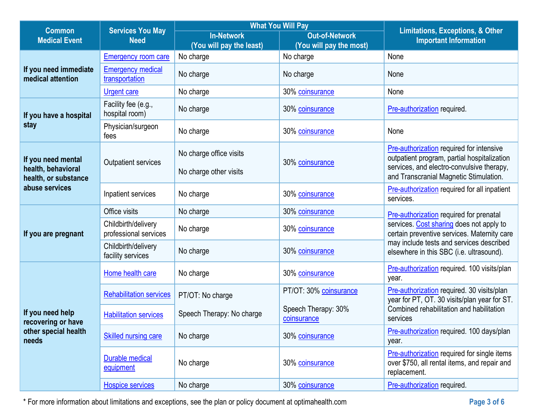|                                                                         | <b>What You Will Pay</b><br><b>Services You May</b><br><b>Common</b> |                           |                                    | Limitations, Exceptions, & Other                                                                                                                                                                                           |
|-------------------------------------------------------------------------|----------------------------------------------------------------------|---------------------------|------------------------------------|----------------------------------------------------------------------------------------------------------------------------------------------------------------------------------------------------------------------------|
| <b>Medical Event</b>                                                    | <b>Need</b>                                                          | <b>In-Network</b>         | <b>Out-of-Network</b>              | <b>Important Information</b>                                                                                                                                                                                               |
|                                                                         |                                                                      | (You will pay the least)  | (You will pay the most)            |                                                                                                                                                                                                                            |
|                                                                         | <b>Emergency room care</b>                                           | No charge                 | No charge                          | None                                                                                                                                                                                                                       |
| If you need immediate<br>medical attention                              | <b>Emergency medical</b><br>transportation                           | No charge                 | No charge                          | None                                                                                                                                                                                                                       |
|                                                                         | <b>Urgent care</b>                                                   | No charge                 | 30% coinsurance                    | None                                                                                                                                                                                                                       |
| If you have a hospital                                                  | Facility fee (e.g.,<br>hospital room)                                | No charge                 | 30% coinsurance                    | Pre-authorization required.                                                                                                                                                                                                |
| stay                                                                    | Physician/surgeon<br>fees                                            | No charge                 | 30% coinsurance                    | None                                                                                                                                                                                                                       |
| If you need mental                                                      | Outpatient services                                                  | No charge office visits   | 30% coinsurance                    | Pre-authorization required for intensive<br>outpatient program, partial hospitalization                                                                                                                                    |
| health, behavioral<br>health, or substance                              |                                                                      | No charge other visits    |                                    | services, and electro-convulsive therapy,<br>and Transcranial Magnetic Stimulation.                                                                                                                                        |
| abuse services                                                          | Inpatient services                                                   | No charge                 | 30% coinsurance                    | <b>Pre-authorization required for all inpatient</b><br>services.                                                                                                                                                           |
|                                                                         | Office visits                                                        | No charge                 | 30% coinsurance                    | Pre-authorization required for prenatal<br>services. Cost sharing does not apply to<br>certain preventive services. Maternity care<br>may include tests and services described<br>elsewhere in this SBC (i.e. ultrasound). |
| If you are pregnant                                                     | Childbirth/delivery<br>professional services                         | No charge                 | 30% coinsurance                    |                                                                                                                                                                                                                            |
|                                                                         | Childbirth/delivery<br>facility services                             | No charge                 | 30% coinsurance                    |                                                                                                                                                                                                                            |
|                                                                         | Home health care                                                     | No charge                 | 30% coinsurance                    | Pre-authorization required. 100 visits/plan<br>year.                                                                                                                                                                       |
|                                                                         | <b>Rehabilitation services</b>                                       | PT/OT: No charge          | PT/OT: 30% coinsurance             | Pre-authorization required. 30 visits/plan<br>year for PT, OT. 30 visits/plan year for ST.                                                                                                                                 |
| If you need help<br>recovering or have<br>other special health<br>needs | <b>Habilitation services</b>                                         | Speech Therapy: No charge | Speech Therapy: 30%<br>coinsurance | Combined rehabilitation and habilitation<br>services                                                                                                                                                                       |
|                                                                         | <b>Skilled nursing care</b>                                          | No charge                 | 30% coinsurance                    | Pre-authorization required. 100 days/plan<br>year.                                                                                                                                                                         |
|                                                                         | <b>Durable medical</b><br>equipment                                  | No charge                 | 30% coinsurance                    | <b>Pre-authorization required for single items</b><br>over \$750, all rental items, and repair and<br>replacement.                                                                                                         |
|                                                                         | <b>Hospice services</b>                                              | No charge                 | 30% coinsurance                    | Pre-authorization required.                                                                                                                                                                                                |

\* For more information about limitations and exceptions, see the plan or policy document at optimahealth.com **Page 3 of 6**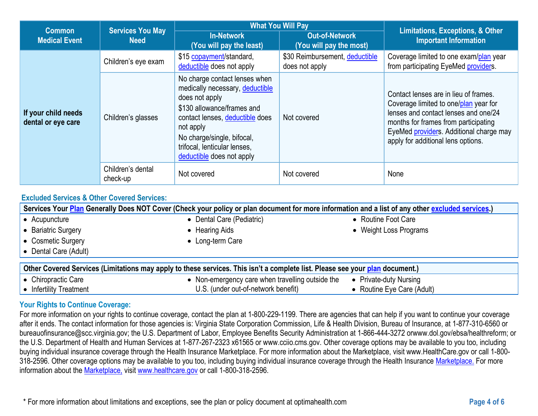| <b>Common</b>                             | <b>Services You May</b>       | <b>What You Will Pay</b>                                                                                                                                                                                                                                    |                                                  | <b>Limitations, Exceptions, &amp; Other</b>                                                                                                                                                                                                     |  |
|-------------------------------------------|-------------------------------|-------------------------------------------------------------------------------------------------------------------------------------------------------------------------------------------------------------------------------------------------------------|--------------------------------------------------|-------------------------------------------------------------------------------------------------------------------------------------------------------------------------------------------------------------------------------------------------|--|
| <b>Medical Event</b><br><b>Need</b>       |                               | <b>In-Network</b><br>(You will pay the least)                                                                                                                                                                                                               | <b>Out-of-Network</b><br>(You will pay the most) | <b>Important Information</b>                                                                                                                                                                                                                    |  |
|                                           | Children's eye exam           | \$15 copayment/standard,<br>deductible does not apply                                                                                                                                                                                                       | \$30 Reimbursement, deductible<br>does not apply | Coverage limited to one exam/plan year<br>from participating EyeMed providers.                                                                                                                                                                  |  |
| If your child needs<br>dental or eye care | Children's glasses            | No charge contact lenses when<br>medically necessary, deductible<br>does not apply<br>\$130 allowance/frames and<br>contact lenses, deductible does<br>not apply<br>No charge/single, bifocal,<br>trifocal, lenticular lenses,<br>deductible does not apply | Not covered                                      | Contact lenses are in lieu of frames.<br>Coverage limited to one/plan year for<br>lenses and contact lenses and one/24<br>months for frames from participating<br>EyeMed providers. Additional charge may<br>apply for additional lens options. |  |
|                                           | Children's dental<br>check-up | Not covered                                                                                                                                                                                                                                                 | Not covered                                      | None                                                                                                                                                                                                                                            |  |

# **Excluded Services & Other Covered Services:**

| Services Your Plan Generally Does NOT Cover (Check your policy or plan document for more information and a list of any other excluded services.) |                                                |                            |  |  |  |  |
|--------------------------------------------------------------------------------------------------------------------------------------------------|------------------------------------------------|----------------------------|--|--|--|--|
| $\bullet$ Acupuncture                                                                                                                            | • Dental Care (Pediatric)                      | • Routine Foot Care        |  |  |  |  |
| • Bariatric Surgery                                                                                                                              | • Hearing Aids                                 | • Weight Loss Programs     |  |  |  |  |
| • Cosmetic Surgery                                                                                                                               | • Long-term Care                               |                            |  |  |  |  |
| $\bullet$ Dental Care (Adult)                                                                                                                    |                                                |                            |  |  |  |  |
| Other Covered Services (Limitations may apply to these services. This isn't a complete list. Please see your plan document.)                     |                                                |                            |  |  |  |  |
| $\bullet$ Chiropractic Care                                                                                                                      | Non-emergency care when travelling outside the | • Private-duty Nursing     |  |  |  |  |
| $\bullet$ Infertility Treatment                                                                                                                  | U.S. (under out-of-network benefit)            | • Routine Eye Care (Adult) |  |  |  |  |

# • Infertility Treatment

#### **Your Rights to Continue Coverage:**

For more information on your rights to continue coverage, contact the plan at 1-800-229-1199. There are agencies that can help if you want to continue your coverage after it ends. The contact information for those agencies is: Virginia State Corporation Commission, Life & Health Division, Bureau of Insurance, at 1-877-310-6560 or bureauofinsurance@scc.virginia.gov; the U.S. Department of Labor, Employee Benefits Security Administration at 1-866-444-3272 orwww.dol.gov/ebsa/healthreform; or the U.S. Department of Health and Human Services at 1-877-267-2323 x61565 or www.cciio.cms.gov. Other coverage options may be available to you too, including buying individual insurance coverage through the Health Insurance Marketplace. For more information about the Marketplace, visit www.HealthCare.gov or call 1-800- 318-2596. Other coverage options may be available to you too, including buying individual insurance coverage through the Health Insurance [Marketplace.](https://www.healthcare.gov/sbc-glossary/#plan) For more information about the [Marketplace,](https://www.healthcare.gov/sbc-glossary/#Market%20place) visit [www.healthcare.gov](https://www.healthcare.gov/sbc-glossary/#plan) or call 1-800-318-2596.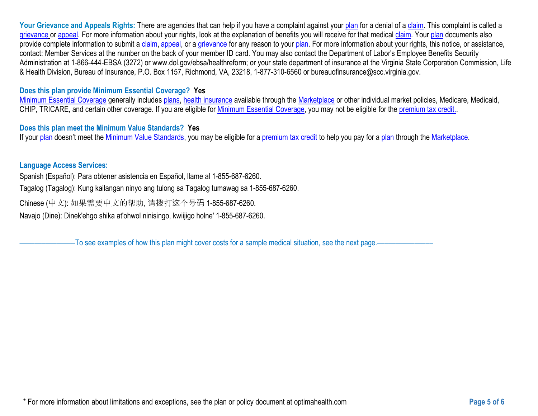Your Grievance and Appeals Rights: There are agencies that can help if you have a complaint against your [plan](https://www.healthcare.gov/sbc-glossary/#plan) for a denial of a [claim.](https://www.healthcare.gov/sbc-glossary/#claim) This complaint is called a [grievance](https://www.healthcare.gov/sbc-glossary/#grievance) or [appeal.](https://www.healthcare.gov/sbc-glossary/#appeal) For more information about your rights, look at the explanation of benefits you will receive for that medical [claim.](https://www.healthcare.gov/sbc-glossary/#claim) Your [plan](https://www.healthcare.gov/sbc-glossary/#plan) documents also provide complete information to submit a [claim,](https://www.healthcare.gov/sbc-glossary/#claim) [appeal,](https://www.healthcare.gov/sbc-glossary/#appeal) or a [grievance](https://www.healthcare.gov/sbc-glossary/#grievance) for any reason to your [plan.](https://www.healthcare.gov/sbc-glossary/#plan) For more information about your rights, this notice, or assistance, contact: Member Services at the number on the back of your member ID card. You may also contact the Department of Labor's Employee Benefits Security Administration at 1-866-444-EBSA (3272) or www.dol.gov/ebsa/healthreform; or your state department of insurance at the Virginia State Corporation Commission, Life & Health Division, Bureau of Insurance, P.O. Box 1157, Richmond, VA, 23218, 1-877-310-6560 or bureauofinsurance@scc.virginia.gov.

### **Does this plan provide Minimum Essential Coverage? Yes**

[Minimum Essential Coverage](https://www.healthcare.gov/sbc-glossary/#minimum-essential-coverage) generally includes [plans,](https://www.healthcare.gov/sbc-glossary/#plan) [health insurance](https://www.healthcare.gov/sbc-glossary/#health-insurance) available through the [Marketplace](https://www.healthcare.gov/sbc-glossary/#marketplace) or other individual market policies, Medicare, Medicaid, CHIP, TRICARE, and certain other coverage. If you are eligible for [Minimum Essential Coverage,](https://www.healthcare.gov/sbc-glossary/#minimum-essential-coverage) you may not be eligible for the [premium tax credit..](https://www.healthcare.gov/sbc-glossary/#premium-tax-credits)

#### **Does this plan meet the Minimum Value Standards? Yes**

If your [plan](https://www.healthcare.gov/sbc-glossary/#plan) doesn't meet the [Minimum Value Standards,](https://www.healthcare.gov/sbc-glossary/#minimum-value-standard) you may be eligible for a [premium tax credit](https://www.healthcare.gov/sbc-glossary/#premium-tax-credits) to help you pay for a plan through the [Marketplace.](https://www.healthcare.gov/sbc-glossary/#marketplace)

#### **Language Access Services:**

Spanish (Español): Para obtener asistencia en Español, llame al 1-855-687-6260.

Tagalog (Tagalog): Kung kailangan ninyo ang tulong sa Tagalog tumawag sa 1-855-687-6260.

Chinese (中文): 如果需要中文的帮助, 请拨打这个号码 1-855-687-6260.

Navajo (Dine): Dinek'ehgo shika at'ohwol ninisingo, kwiijigo holne' 1-855-687-6260.

–To see examples of how this plan might cover costs for a sample medical situation, see the next page.–